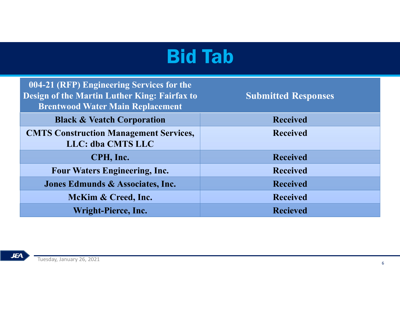| <b>Bid Tab</b>                                                                          |                            |
|-----------------------------------------------------------------------------------------|----------------------------|
| 004-21 (RFP) Engineering Services for the                                               |                            |
| Design of the Martin Luther King: Fairfax to<br><b>Brentwood Water Main Replacement</b> | <b>Submitted Responses</b> |
| <b>Black &amp; Veatch Corporation</b>                                                   | <b>Received</b>            |
| <b>CMTS Construction Management Services,</b><br>LLC: dba CMTS LLC                      | <b>Received</b>            |
| CPH, Inc.                                                                               | <b>Received</b>            |
| <b>Four Waters Engineering, Inc.</b>                                                    | <b>Received</b>            |
| Jones Edmunds & Associates, Inc.                                                        | <b>Received</b>            |
| McKim & Creed, Inc.                                                                     | <b>Received</b>            |
| Wright-Pierce, Inc.                                                                     | <b>Recieved</b>            |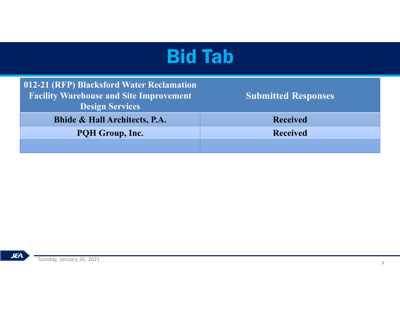| <b>Bid Tab</b>             |  |
|----------------------------|--|
|                            |  |
| <b>Submitted Responses</b> |  |
|                            |  |
| <b>Received</b>            |  |
| <b>Received</b>            |  |
|                            |  |
|                            |  |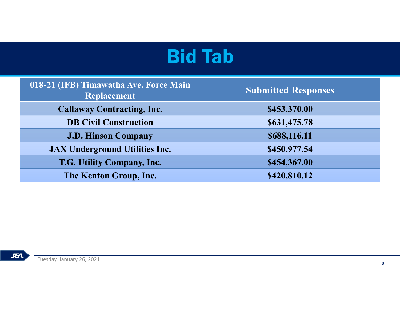| <b>Bid Tab</b>                                        |                            |
|-------------------------------------------------------|----------------------------|
|                                                       |                            |
| 018-21 (IFB) Timawatha Ave. Force Main<br>Replacement | <b>Submitted Responses</b> |
| <b>Callaway Contracting, Inc.</b>                     | \$453,370.00               |
| <b>DB Civil Construction</b>                          | \$631,475.78               |
| <b>J.D. Hinson Company</b>                            | \$688,116.11               |
| <b>JAX Underground Utilities Inc.</b>                 | \$450,977.54               |
| T.G. Utility Company, Inc.                            | \$454,367.00               |
|                                                       | \$420,810.12               |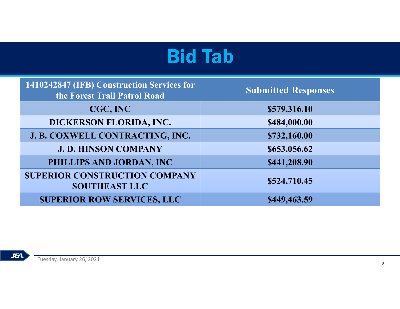|                                                              | <b>Bid Tab</b>             |
|--------------------------------------------------------------|----------------------------|
| 1410242847 (IFB) Construction Services for                   |                            |
| the Forest Trail Patrol Road                                 | <b>Submitted Responses</b> |
| CGC, INC                                                     | \$579,316.10               |
| DICKERSON FLORIDA, INC.                                      | \$484,000.00               |
| J. B. COXWELL CONTRACTING, INC.                              | \$732,160.00               |
| <b>J. D. HINSON COMPANY</b>                                  | \$653,056.62               |
| PHILLIPS AND JORDAN, INC                                     | \$441,208.90               |
| <b>SUPERIOR CONSTRUCTION COMPANY</b><br><b>SOUTHEAST LLC</b> | \$524,710.45               |
|                                                              |                            |

**JEA**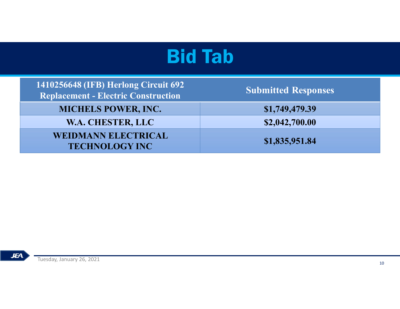| <b>Bid Tab</b>             |
|----------------------------|
| <b>Submitted Responses</b> |
| \$1,749,479.39             |
| \$2,042,700.00             |
| \$1,835,951.84             |
|                            |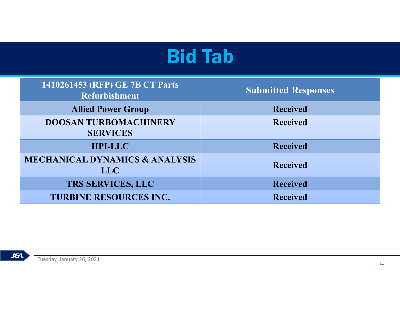|                                                         | <b>Bid Tab</b>             |
|---------------------------------------------------------|----------------------------|
|                                                         |                            |
| 1410261453 (RFP) GE 7B CT Parts<br><b>Refurbishment</b> | <b>Submitted Responses</b> |
| <b>Allied Power Group</b>                               | <b>Received</b>            |
| <b>DOOSAN TURBOMACHINERY</b><br><b>SERVICES</b>         | <b>Received</b>            |
| <b>HPI-LLC</b>                                          | <b>Received</b>            |
| <b>MECHANICAL DYNAMICS &amp; ANALYSIS</b><br><b>LLC</b> | <b>Received</b>            |
| TRS SERVICES, LLC                                       | Received                   |
| <b>TURBINE RESOURCES INC.</b>                           | <b>Received</b>            |